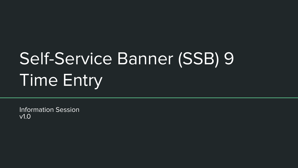# Self-Service Banner (SSB) 9 Time Entry

Information Session v1.0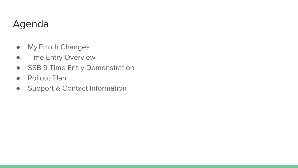## Agenda

- My.Emich Changes
- **•** Time Entry Overview
- SSB 9 Time Entry Demonstration
- Rollout Plan
- Support & Contact Information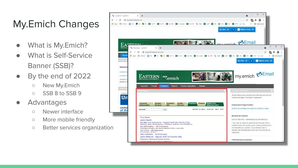## My.Emich Changes

- What is My.Emich?
- What is Self-Service Banner (SSB)?
- By the end of 2022
	- New My.Emich
	- SSB 8 to SSB 9
- Advantages
	- Newer interface
	- More mobile friendly
	- Better services organization

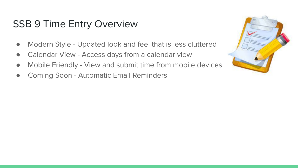#### SSB 9 Time Entry Overview

- Modern Style Updated look and feel that is less cluttered
- Calendar View Access days from a calendar view
- Mobile Friendly View and submit time from mobile devices
- Coming Soon Automatic Email Reminders

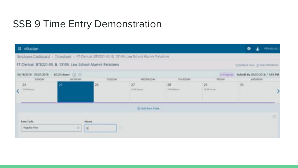### SSB 9 Time Entry Demonstration

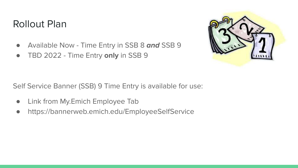#### Rollout Plan

- Available Now Time Entry in SSB 8 **and** SSB 9
- TBD 2022 Time Entry **only** in SSB 9



Self Service Banner (SSB) 9 Time Entry is available for use:

- Link from My.Emich Employee Tab
- https://bannerweb.emich.edu/EmployeeSelfService